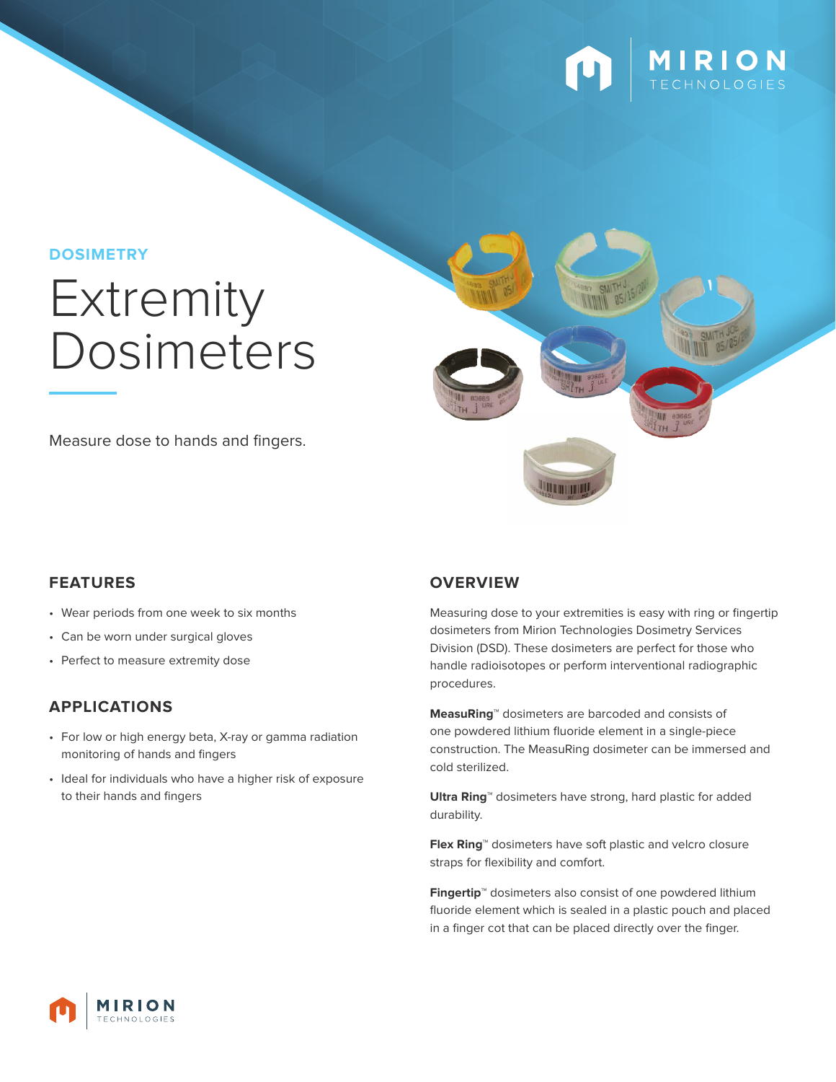

#### **DOSIMETRY**

# **Extremity** Dosimeters

Measure dose to hands and fingers.



- Wear periods from one week to six months
- Can be worn under surgical gloves
- Perfect to measure extremity dose

#### **APPLICATIONS**

- For low or high energy beta, X-ray or gamma radiation monitoring of hands and fingers
- Ideal for individuals who have a higher risk of exposure to their hands and fingers

#### **FEATURES OVERVIEW**

Measuring dose to your extremities is easy with ring or fingertip dosimeters from Mirion Technologies Dosimetry Services Division (DSD). These dosimeters are perfect for those who handle radioisotopes or perform interventional radiographic procedures.

**UTHING** 

**MeasuRing**™ dosimeters are barcoded and consists of one powdered lithium fluoride element in a single-piece construction. The MeasuRing dosimeter can be immersed and cold sterilized.

**Ultra Ring**™ dosimeters have strong, hard plastic for added durability.

**Flex Ring**™ dosimeters have soft plastic and velcro closure straps for flexibility and comfort.

**Fingertip**™ dosimeters also consist of one powdered lithium fluoride element which is sealed in a plastic pouch and placed in a finger cot that can be placed directly over the finger.